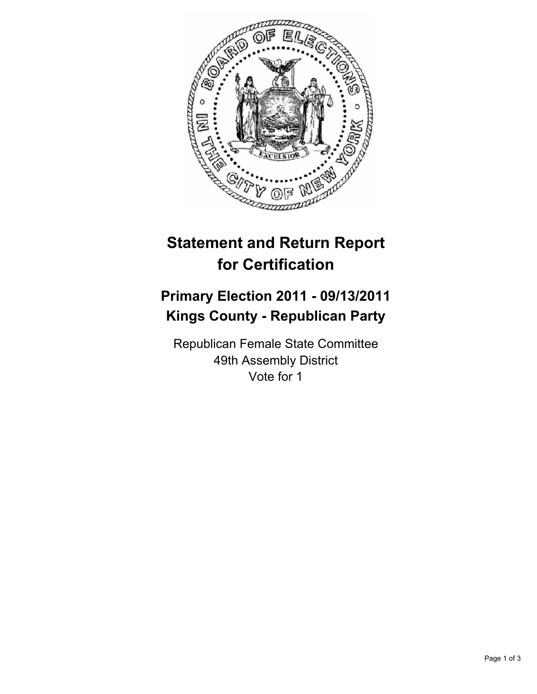

# **Statement and Return Report for Certification**

## **Primary Election 2011 - 09/13/2011 Kings County - Republican Party**

Republican Female State Committee 49th Assembly District Vote for 1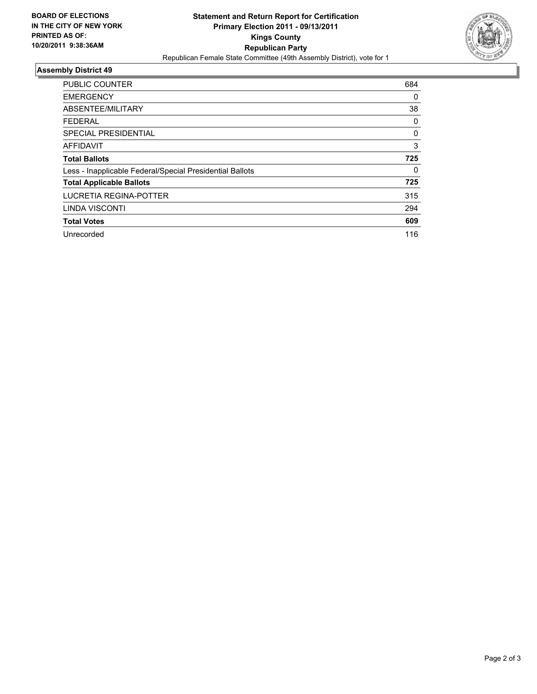

## **Assembly District 49**

| <b>PUBLIC COUNTER</b>                                    | 684 |
|----------------------------------------------------------|-----|
| <b>EMERGENCY</b>                                         | 0   |
| ABSENTEE/MILITARY                                        | 38  |
| <b>FEDERAL</b>                                           | 0   |
| SPECIAL PRESIDENTIAL                                     | 0   |
| <b>AFFIDAVIT</b>                                         | 3   |
| <b>Total Ballots</b>                                     | 725 |
| Less - Inapplicable Federal/Special Presidential Ballots | 0   |
| <b>Total Applicable Ballots</b>                          | 725 |
| LUCRETIA REGINA-POTTER                                   | 315 |
| LINDA VISCONTI                                           | 294 |
| <b>Total Votes</b>                                       | 609 |
| Unrecorded                                               | 116 |